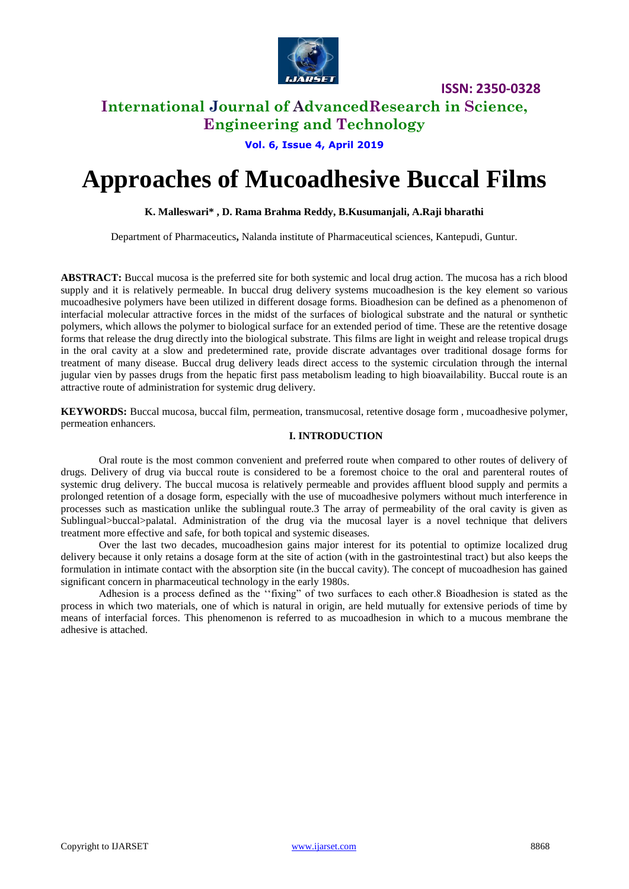

# **International Journal of AdvancedResearch in Science, Engineering and Technology**

**Vol. 6, Issue 4, April 2019**

# **Approaches of Mucoadhesive Buccal Films**

## **K. Malleswari\* , D. Rama Brahma Reddy, B.Kusumanjali, A.Raji bharathi**

Department of Pharmaceutics**,** Nalanda institute of Pharmaceutical sciences, Kantepudi, Guntur.

**ABSTRACT:** Buccal mucosa is the preferred site for both systemic and local drug action. The mucosa has a rich blood supply and it is relatively permeable. In buccal drug delivery systems mucoadhesion is the key element so various mucoadhesive polymers have been utilized in different dosage forms. Bioadhesion can be defined as a phenomenon of interfacial molecular attractive forces in the midst of the surfaces of biological substrate and the natural or synthetic polymers, which allows the polymer to biological surface for an extended period of time. These are the retentive dosage forms that release the drug directly into the biological substrate. This films are light in weight and release tropical drugs in the oral cavity at a slow and predetermined rate, provide discrate advantages over traditional dosage forms for treatment of many disease. Buccal drug delivery leads direct access to the systemic circulation through the internal jugular vien by passes drugs from the hepatic first pass metabolism leading to high bioavailability. Buccal route is an attractive route of administration for systemic drug delivery.

**KEYWORDS:** Buccal mucosa, buccal film, permeation, transmucosal, retentive dosage form , mucoadhesive polymer, permeation enhancers.

# **I. INTRODUCTION**

Oral route is the most common convenient and preferred route when compared to other routes of delivery of drugs. Delivery of drug via buccal route is considered to be a foremost choice to the oral and parenteral routes of systemic drug delivery. The buccal mucosa is relatively permeable and provides affluent blood supply and permits a prolonged retention of a dosage form, especially with the use of mucoadhesive polymers without much interference in processes such as mastication unlike the sublingual route.3 The array of permeability of the oral cavity is given as Sublingual>buccal>palatal. Administration of the drug via the mucosal layer is a novel technique that delivers treatment more effective and safe, for both topical and systemic diseases.

Over the last two decades, mucoadhesion gains major interest for its potential to optimize localized drug delivery because it only retains a dosage form at the site of action (with in the gastrointestinal tract) but also keeps the formulation in intimate contact with the absorption site (in the buccal cavity). The concept of mucoadhesion has gained significant concern in pharmaceutical technology in the early 1980s.

Adhesion is a process defined as the ''fixing" of two surfaces to each other.8 Bioadhesion is stated as the process in which two materials, one of which is natural in origin, are held mutually for extensive periods of time by means of interfacial forces. This phenomenon is referred to as mucoadhesion in which to a mucous membrane the adhesive is attached.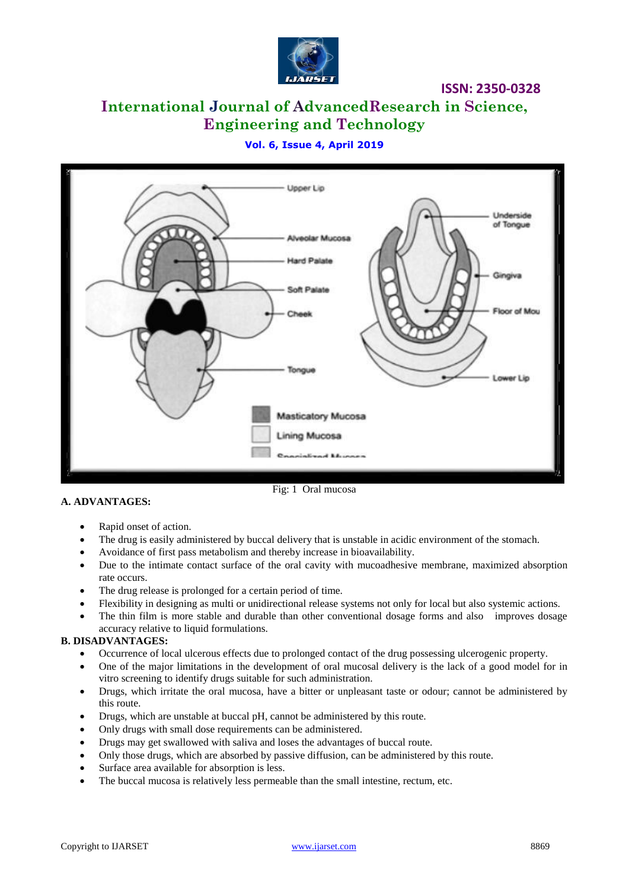

# **International Journal of AdvancedResearch in Science, Engineering and Technology**

# **Vol. 6, Issue 4, April 2019**



## **A. ADVANTAGES:**

Fig: 1 Oral mucosa

- Rapid onset of action.
- The drug is easily administered by buccal delivery that is unstable in acidic environment of the stomach.
- Avoidance of first pass metabolism and thereby increase in bioavailability.
- Due to the intimate contact surface of the oral cavity with mucoadhesive membrane, maximized absorption rate occurs.
- The drug release is prolonged for a certain period of time.
- Flexibility in designing as multi or unidirectional release systems not only for local but also systemic actions.
- The thin film is more stable and durable than other conventional dosage forms and also improves dosage accuracy relative to liquid formulations.

# **B. DISADVANTAGES:**

- Occurrence of local ulcerous effects due to prolonged contact of the drug possessing ulcerogenic property.
- One of the major limitations in the development of oral mucosal delivery is the lack of a good model for in vitro screening to identify drugs suitable for such administration.
- Drugs, which irritate the oral mucosa, have a bitter or unpleasant taste or odour; cannot be administered by this route.
- Drugs, which are unstable at buccal pH, cannot be administered by this route.
- Only drugs with small dose requirements can be administered.
- Drugs may get swallowed with saliva and loses the advantages of buccal route.
- Only those drugs, which are absorbed by passive diffusion, can be administered by this route.
- Surface area available for absorption is less.
- The buccal mucosa is relatively less permeable than the small intestine, rectum, etc.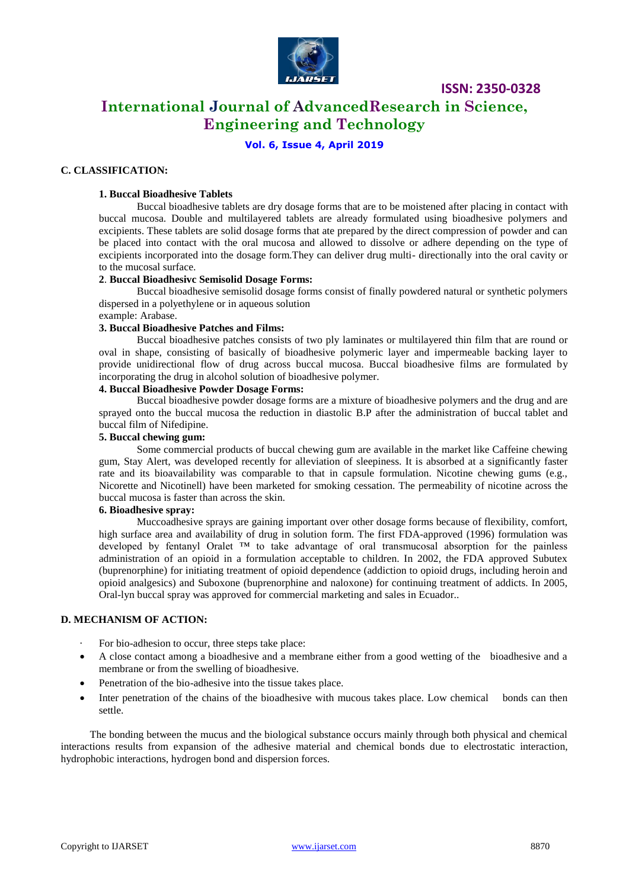

# **International Journal of AdvancedResearch in Science, Engineering and Technology**

# **Vol. 6, Issue 4, April 2019**

# **C. CLASSIFICATION:**

#### **1. Buccal Bioadhesive Tablets**

Buccal bioadhesive tablets are dry dosage forms that are to be moistened after placing in contact with buccal mucosa. Double and multilayered tablets are already formulated using bioadhesive polymers and excipients. These tablets are solid dosage forms that ate prepared by the direct compression of powder and can be placed into contact with the oral mucosa and allowed to dissolve or adhere depending on the type of excipients incorporated into the dosage form.They can deliver drug multi- directionally into the oral cavity or to the mucosal surface.

#### **2**. **Buccal Bioadhesivc Semisolid Dosage Forms:**

Buccal bioadhesive semisolid dosage forms consist of finally powdered natural or synthetic polymers dispersed in a polyethylene or in aqueous solution

# example: Arabase.

# **3. Buccal Bioadhesive Patches and Films:**

Buccal bioadhesive patches consists of two ply laminates or multilayered thin film that are round or oval in shape, consisting of basically of bioadhesive polymeric layer and impermeable backing layer to provide unidirectional flow of drug across buccal mucosa. Buccal bioadhesive films are formulated by incorporating the drug in alcohol solution of bioadhesive polymer.

## **4. Buccal Bioadhesive Powder Dosage Forms:**

Buccal bioadhesive powder dosage forms are a mixture of bioadhesive polymers and the drug and are sprayed onto the buccal mucosa the reduction in diastolic B.P after the administration of buccal tablet and buccal film of Nifedipine.

#### **5. Buccal chewing gum:**

Some commercial products of buccal chewing gum are available in the market like Caffeine chewing gum, Stay Alert, was developed recently for alleviation of sleepiness. It is absorbed at a significantly faster rate and its bioavailability was comparable to that in capsule formulation. Nicotine chewing gums (e.g., Nicorette and Nicotinell) have been marketed for smoking cessation. The permeability of nicotine across the buccal mucosa is faster than across the skin.

#### **6. Bioadhesive spray:**

Muccoadhesive sprays are gaining important over other dosage forms because of flexibility, comfort, high surface area and availability of drug in solution form. The first FDA-approved (1996) formulation was developed by fentanyl Oralet ™ to take advantage of oral transmucosal absorption for the painless administration of an opioid in a formulation acceptable to children. In 2002, the FDA approved Subutex (buprenorphine) for initiating treatment of opioid dependence (addiction to opioid drugs, including heroin and opioid analgesics) and Suboxone (buprenorphine and naloxone) for continuing treatment of addicts. In 2005, Oral-lyn buccal spray was approved for commercial marketing and sales in Ecuador..

## **D. MECHANISM OF ACTION:**

- For bio-adhesion to occur, three steps take place:
- A close contact among a bioadhesive and a membrane either from a good wetting of the bioadhesive and a membrane or from the swelling of bioadhesive.
- Penetration of the bio-adhesive into the tissue takes place.
- Inter penetration of the chains of the bioadhesive with mucous takes place. Low chemical bonds can then settle.

 The bonding between the mucus and the biological substance occurs mainly through both physical and chemical interactions results from expansion of the adhesive material and chemical bonds due to electrostatic interaction, hydrophobic interactions, hydrogen bond and dispersion forces.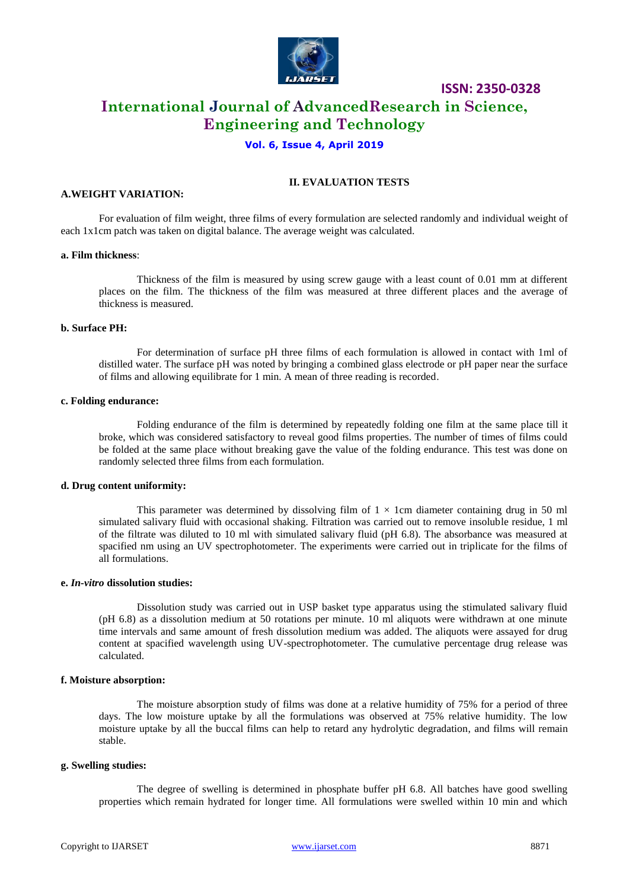

# **ISSN: 2350-0328 International Journal of AdvancedResearch in Science, Engineering and Technology**

# **Vol. 6, Issue 4, April 2019**

# **II. EVALUATION TESTS**

## **A.WEIGHT VARIATION:**

For evaluation of film weight, three films of every formulation are selected randomly and individual weight of each 1x1cm patch was taken on digital balance. The average weight was calculated.

#### **a. Film thickness**:

Thickness of the film is measured by using screw gauge with a least count of 0.01 mm at different places on the film. The thickness of the film was measured at three different places and the average of thickness is measured.

## **b. Surface PH:**

For determination of surface pH three films of each formulation is allowed in contact with 1ml of distilled water. The surface pH was noted by bringing a combined glass electrode or pH paper near the surface of films and allowing equilibrate for 1 min. A mean of three reading is recorded.

#### **c. Folding endurance:**

Folding endurance of the film is determined by repeatedly folding one film at the same place till it broke, which was considered satisfactory to reveal good films properties. The number of times of films could be folded at the same place without breaking gave the value of the folding endurance. This test was done on randomly selected three films from each formulation.

#### **d. Drug content uniformity:**

This parameter was determined by dissolving film of  $1 \times 1$ cm diameter containing drug in 50 ml simulated salivary fluid with occasional shaking. Filtration was carried out to remove insoluble residue, 1 ml of the filtrate was diluted to 10 ml with simulated salivary fluid (pH 6.8). The absorbance was measured at spacified nm using an UV spectrophotometer. The experiments were carried out in triplicate for the films of all formulations.

#### **e.** *In-vitro* **dissolution studies:**

Dissolution study was carried out in USP basket type apparatus using the stimulated salivary fluid (pH 6.8) as a dissolution medium at 50 rotations per minute. 10 ml aliquots were withdrawn at one minute time intervals and same amount of fresh dissolution medium was added. The aliquots were assayed for drug content at spacified wavelength using UV-spectrophotometer. The cumulative percentage drug release was calculated.

#### **f. Moisture absorption:**

The moisture absorption study of films was done at a relative humidity of 75% for a period of three days. The low moisture uptake by all the formulations was observed at 75% relative humidity. The low moisture uptake by all the buccal films can help to retard any hydrolytic degradation, and films will remain stable.

#### **g. Swelling studies:**

The degree of swelling is determined in phosphate buffer pH 6.8. All batches have good swelling properties which remain hydrated for longer time. All formulations were swelled within 10 min and which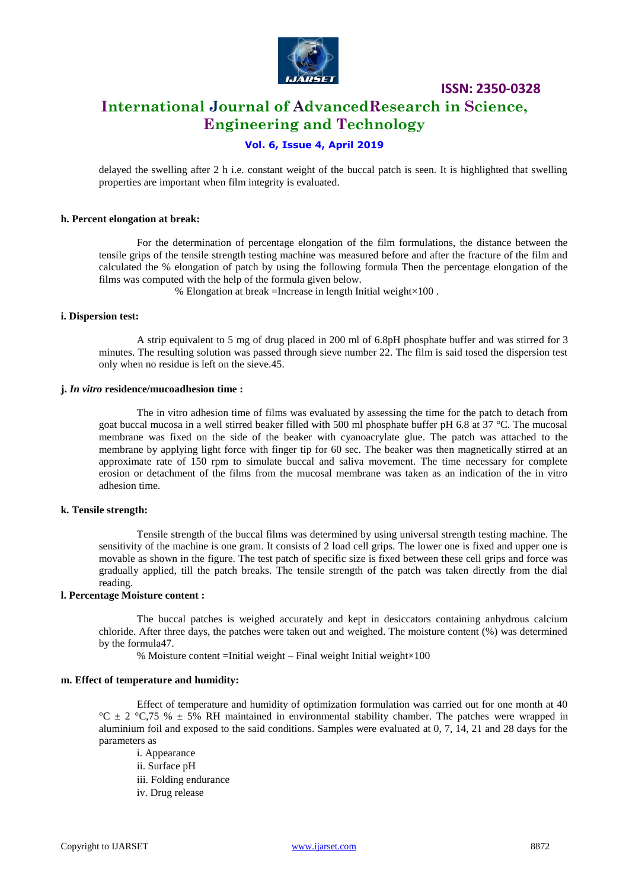

# **ISSN: 2350-0328 International Journal of AdvancedResearch in Science, Engineering and Technology**

# **Vol. 6, Issue 4, April 2019**

delayed the swelling after 2 h i.e. constant weight of the buccal patch is seen. It is highlighted that swelling properties are important when film integrity is evaluated.

#### **h. Percent elongation at break:**

For the determination of percentage elongation of the film formulations, the distance between the tensile grips of the tensile strength testing machine was measured before and after the fracture of the film and calculated the % elongation of patch by using the following formula Then the percentage elongation of the films was computed with the help of the formula given below.

% Elongation at break =Increase in length Initial weight×100 .

#### **i. Dispersion test:**

A strip equivalent to 5 mg of drug placed in 200 ml of 6.8pH phosphate buffer and was stirred for 3 minutes. The resulting solution was passed through sieve number 22. The film is said tosed the dispersion test only when no residue is left on the sieve.45.

#### **j.** *In vitro* **residence/mucoadhesion time :**

The in vitro adhesion time of films was evaluated by assessing the time for the patch to detach from goat buccal mucosa in a well stirred beaker filled with 500 ml phosphate buffer pH 6.8 at 37 °C. The mucosal membrane was fixed on the side of the beaker with cyanoacrylate glue. The patch was attached to the membrane by applying light force with finger tip for 60 sec. The beaker was then magnetically stirred at an approximate rate of 150 rpm to simulate buccal and saliva movement. The time necessary for complete erosion or detachment of the films from the mucosal membrane was taken as an indication of the in vitro adhesion time.

#### **k. Tensile strength:**

Tensile strength of the buccal films was determined by using universal strength testing machine. The sensitivity of the machine is one gram. It consists of 2 load cell grips. The lower one is fixed and upper one is movable as shown in the figure. The test patch of specific size is fixed between these cell grips and force was gradually applied, till the patch breaks. The tensile strength of the patch was taken directly from the dial reading.

#### **l. Percentage Moisture content :**

The buccal patches is weighed accurately and kept in desiccators containing anhydrous calcium chloride. After three days, the patches were taken out and weighed. The moisture content (%) was determined by the formula47.

% Moisture content =Initial weight – Final weight Initial weight×100

#### **m. Effect of temperature and humidity:**

Effect of temperature and humidity of optimization formulation was carried out for one month at 40 °C  $\pm$  2 °C,75 %  $\pm$  5% RH maintained in environmental stability chamber. The patches were wrapped in aluminium foil and exposed to the said conditions. Samples were evaluated at 0, 7, 14, 21 and 28 days for the parameters as

i. Appearance ii. Surface pH iii. Folding endurance iv. Drug release